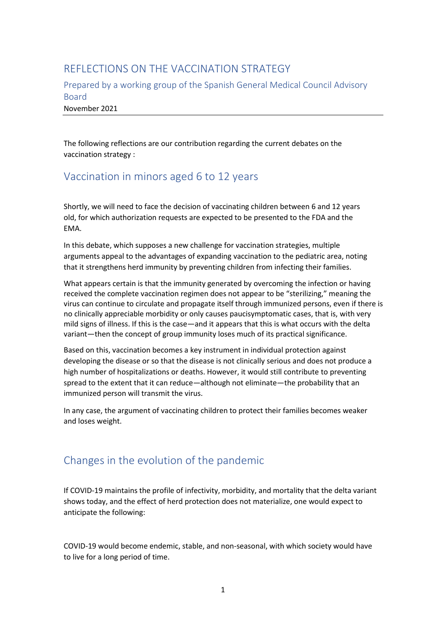## REFLECTIONS ON THE VACCINATION STRATEGY

Prepared by a working group of the Spanish General Medical Council Advisory Board November 2021

The following reflections are our contribution regarding the current debates on the vaccination strategy :

## Vaccination in minors aged 6 to 12 years

Shortly, we will need to face the decision of vaccinating children between 6 and 12 years old, for which authorization requests are expected to be presented to the FDA and the EMA.

In this debate, which supposes a new challenge for vaccination strategies, multiple arguments appeal to the advantages of expanding vaccination to the pediatric area, noting that it strengthens herd immunity by preventing children from infecting their families.

What appears certain is that the immunity generated by overcoming the infection or having received the complete vaccination regimen does not appear to be "sterilizing," meaning the virus can continue to circulate and propagate itself through immunized persons, even if there is no clinically appreciable morbidity or only causes paucisymptomatic cases, that is, with very mild signs of illness. If this is the case—and it appears that this is what occurs with the delta variant—then the concept of group immunity loses much of its practical significance.

Based on this, vaccination becomes a key instrument in individual protection against developing the disease or so that the disease is not clinically serious and does not produce a high number of hospitalizations or deaths. However, it would still contribute to preventing spread to the extent that it can reduce—although not eliminate—the probability that an immunized person will transmit the virus.

In any case, the argument of vaccinating children to protect their families becomes weaker and loses weight.

## Changes in the evolution of the pandemic

If COVID-19 maintains the profile of infectivity, morbidity, and mortality that the delta variant shows today, and the effect of herd protection does not materialize, one would expect to anticipate the following:

COVID-19 would become endemic, stable, and non-seasonal, with which society would have to live for a long period of time.